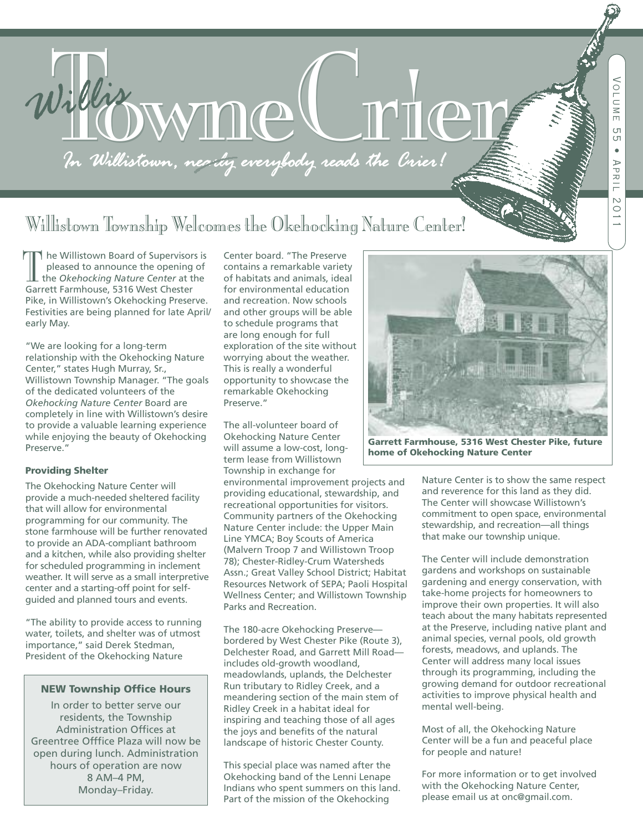

# Willistown Township Welcomes the Okehocking Nature Center!

he Willistown Board of Supervisors is pleased to announce the opening of the *Okehocking Nature Center* at the The Willistown Board of Supervisor<br>pleased to announce the opening<br>the Okehocking Nature Center at t<br>Garrett Farmhouse, 5316 West Chester Pike, in Willistown's Okehocking Preserve. Festivities are being planned for late April/ early May.

"We are looking for a long-term relationship with the Okehocking Nature Center," states Hugh Murray, Sr., Willistown Township Manager. "The goals of the dedicated volunteers of the *Okehocking Nature Center* Board are completely in line with Willistown's desire to provide a valuable learning experience while enjoying the beauty of Okehocking Preserve."

#### **Providing Shelter**

The Okehocking Nature Center will provide a much-needed sheltered facility that will allow for environmental programming for our community. The stone farmhouse will be further renovated to provide an ADA-compliant bathroom and a kitchen, while also providing shelter for scheduled programming in inclement weather. It will serve as a small interpretive center and a starting-off point for selfguided and planned tours and events.

"The ability to provide access to running water, toilets, and shelter was of utmost importance," said Derek Stedman, President of the Okehocking Nature

### **NEW Township Office Hours**

In order to better serve our residents, the Township Administration Offices at Greentree Offfice Plaza will now be open during lunch. Administration hours of operation are now 8 AM–4 PM, Monday–Friday.

Center board. "The Preserve contains a remarkable variety of habitats and animals, ideal for environmental education and recreation. Now schools and other groups will be able to schedule programs that are long enough for full exploration of the site without worrying about the weather. This is really a wonderful opportunity to showcase the remarkable Okehocking Preserve."

The all-volunteer board of Okehocking Nature Center will assume a low-cost, longterm lease from Willistown Township in exchange for

environmental improvement projects and providing educational, stewardship, and recreational opportunities for visitors. Community partners of the Okehocking Nature Center include: the Upper Main Line YMCA; Boy Scouts of America (Malvern Troop 7 and Willistown Troop 78); Chester-Ridley-Crum Watersheds Assn.; Great Valley School District; Habitat Resources Network of SEPA; Paoli Hospital Wellness Center; and Willistown Township Parks and Recreation.

The 180-acre Okehocking Preserve bordered by West Chester Pike (Route 3), Delchester Road, and Garrett Mill Road includes old-growth woodland, meadowlands, uplands, the Delchester Run tributary to Ridley Creek, and a meandering section of the main stem of Ridley Creek in a habitat ideal for inspiring and teaching those of all ages the joys and benefits of the natural landscape of historic Chester County.

This special place was named after the Okehocking band of the Lenni Lenape Indians who spent summers on this land. Part of the mission of the Okehocking



**Garrett Farmhouse, 5316 West Chester Pike, future home of Okehocking Nature Center**

Nature Center is to show the same respect and reverence for this land as they did. The Center will showcase Willistown's commitment to open space, environmental stewardship, and recreation—all things that make our township unique.

The Center will include demonstration gardens and workshops on sustainable gardening and energy conservation, with take-home projects for homeowners to improve their own properties. It will also teach about the many habitats represented at the Preserve, including native plant and animal species, vernal pools, old growth forests, meadows, and uplands. The Center will address many local issues through its programming, including the growing demand for outdoor recreational activities to improve physical health and mental well-being.

Most of all, the Okehocking Nature Center will be a fun and peaceful place for people and nature!

For more information or to get involved with the Okehocking Nature Center, please email us at onc@gmail.com.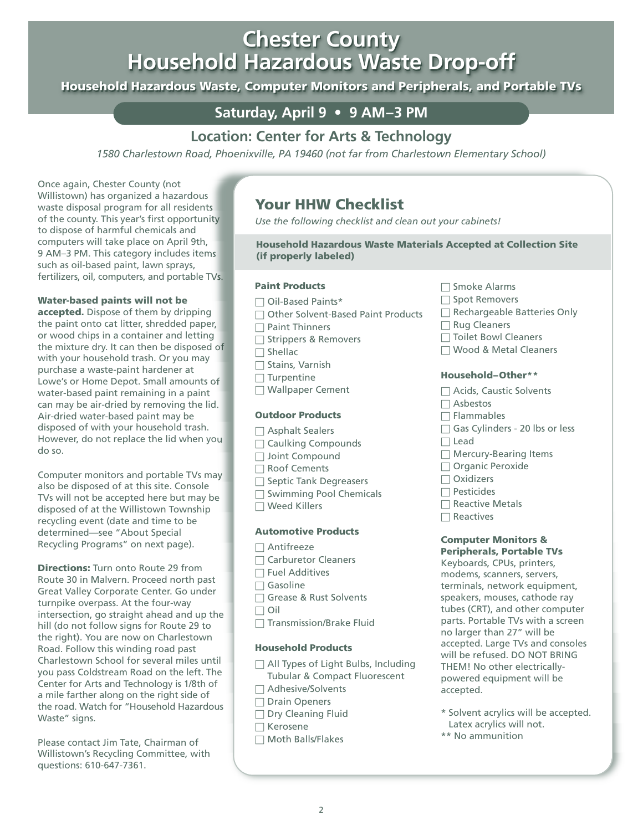# **Chester County Chester County Household Hazardous Waste Drop-off Household Hazardous Waste Drop-off**

Household Hazardous Waste, Computer Monitors and Peripherals, and Portable TVs

## **Saturday, April 9 • 9 AM–3 PM**

## **Location: Center for Arts & Technology**

*1580 Charlestown Road, Phoenixville, PA 19460 (not far from Charlestown Elementary School)*

Once again, Chester County (not Willistown) has organized a hazardous waste disposal program for all residents of the county. This year's first opportunity to dispose of harmful chemicals and computers will take place on April 9th, 9 AM–3 PM. This category includes items such as oil-based paint, lawn sprays, fertilizers, oil, computers, and portable TVs.

## **Water-based paints will not be**

**accepted.** Dispose of them by dripping the paint onto cat litter, shredded paper, or wood chips in a container and letting the mixture dry. It can then be disposed of with your household trash. Or you may purchase a waste-paint hardener at Lowe's or Home Depot. Small amounts of water-based paint remaining in a paint can may be air-dried by removing the lid. Air-dried water-based paint may be disposed of with your household trash. However, do not replace the lid when you do so.

Computer monitors and portable TVs may also be disposed of at this site. Console TVs will not be accepted here but may be disposed of at the Willistown Township recycling event (date and time to be determined—see "About Special Recycling Programs" on next page).

**Directions:** Turn onto Route 29 from Route 30 in Malvern. Proceed north past Great Valley Corporate Center. Go under turnpike overpass. At the four-way intersection, go straight ahead and up the hill (do not follow signs for Route 29 to the right). You are now on Charlestown Road. Follow this winding road past Charlestown School for several miles until you pass Coldstream Road on the left. The Center for Arts and Technology is 1/8th of a mile farther along on the right side of the road. Watch for "Household Hazardous Waste" signs.

Please contact Jim Tate, Chairman of Willistown's Recycling Committee, with questions: 610-647-7361.

## **Your HHW Checklist**

*Use the following checklist and clean out your cabinets!*

**Household Hazardous Waste Materials Accepted at Collection Site (if properly labeled)**

## **Paint Products**

- □ Oil-Based Paints\*
- □ Other Solvent-Based Paint Products
- $\Box$  Paint Thinners
- □ Strippers & Removers
- $\Box$  Shellac
- □ Stains, Varnish
- $\Box$  Turpentine
- □ Wallpaper Cement

## **Outdoor Products**

- □ Asphalt Sealers
- $\Box$  Caulking Compounds
- □ Joint Compound
- □ Roof Cements
- □ Septic Tank Degreasers
- □ Swimming Pool Chemicals
- $\square$  Weed Killers

## **Automotive Products**

- □ Antifreeze
- □ Carburetor Cleaners
- $\Box$  Fuel Additives
- $\Box$  Gasoline
- □ Grease & Rust Solvents
- □ Oil
- □ Transmission/Brake Fluid

## **Household Products**

- □ All Types of Light Bulbs, Including Tubular & Compact Fluorescent
- □ Adhesive/Solvents
- □ Drain Openers
- $\Box$  Dry Cleaning Fluid
- □ Kerosene
- $\Box$  Moth Balls/Flakes
- □ Smoke Alarms
- □ Spot Removers
- □ Rechargeable Batteries Only
- $\Box$  Rug Cleaners
- □ Toilet Bowl Cleaners
- □ Wood & Metal Cleaners

## **Household–Other\*\***

- □ Acids, Caustic Solvents
- □ Asbestos
- $\Box$  Flammables
- □ Gas Cylinders 20 lbs or less
- $\Box$  Lead
- $\Box$  Mercury-Bearing Items
- □ Organic Peroxide
- □ Oxidizers
- $\Box$  Pesticides
- $\Box$  Reactive Metals
- $\Box$  Reactives

## **Computer Monitors &**

**Peripherals, Portable TVs** Keyboards, CPUs, printers, modems, scanners, servers, terminals, network equipment, speakers, mouses, cathode ray tubes (CRT), and other computer parts. Portable TVs with a screen no larger than 27" will be accepted. Large TVs and consoles will be refused. DO NOT BRING THEM! No other electricallypowered equipment will be accepted.

- \* Solvent acrylics will be accepted. Latex acrylics will not.
- \*\* No ammunition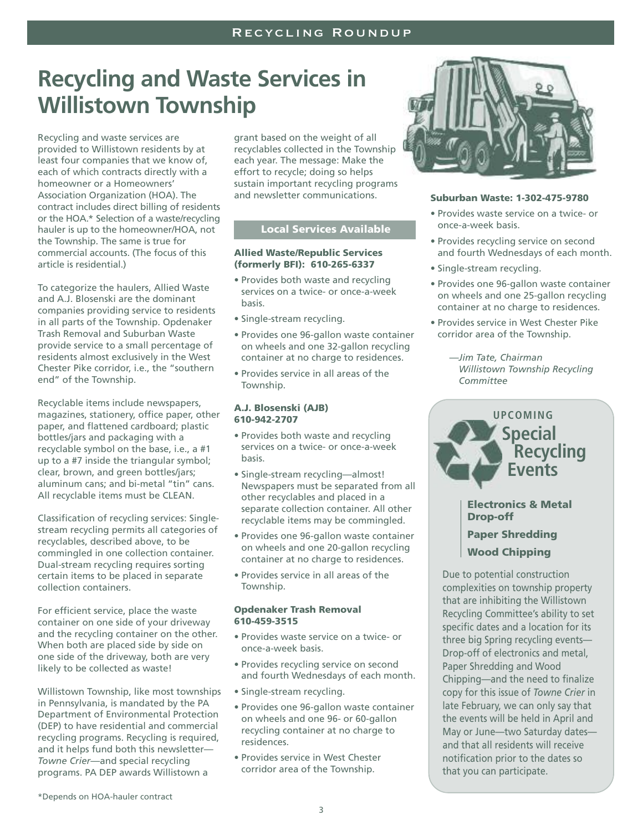# **Recycling and Waste Services in Willistown Township**

Recycling and waste services are provided to Willistown residents by at least four companies that we know of, each of which contracts directly with a homeowner or a Homeowners' Association Organization (HOA). The contract includes direct billing of residents or the HOA.\* Selection of a waste/recycling hauler is up to the homeowner/HOA, not the Township. The same is true for commercial accounts. (The focus of this article is residential.)

To categorize the haulers, Allied Waste and A.J. Blosenski are the dominant companies providing service to residents in all parts of the Township. Opdenaker Trash Removal and Suburban Waste provide service to a small percentage of residents almost exclusively in the West Chester Pike corridor, i.e., the "southern end" of the Township.

Recyclable items include newspapers, magazines, stationery, office paper, other paper, and flattened cardboard; plastic bottles/jars and packaging with a recyclable symbol on the base, i.e., a #1 up to a #7 inside the triangular symbol; clear, brown, and green bottles/jars; aluminum cans; and bi-metal "tin" cans. All recyclable items must be CLEAN.

Classification of recycling services: Singlestream recycling permits all categories of recyclables, described above, to be commingled in one collection container. Dual-stream recycling requires sorting certain items to be placed in separate collection containers.

For efficient service, place the waste container on one side of your driveway and the recycling container on the other. When both are placed side by side on one side of the driveway, both are very likely to be collected as waste!

Willistown Township, like most townships in Pennsylvania, is mandated by the PA Department of Environmental Protection (DEP) to have residential and commercial recycling programs. Recycling is required, and it helps fund both this newsletter— *Towne Crier*—and special recycling programs. PA DEP awards Willistown a

grant based on the weight of all recyclables collected in the Township each year. The message: Make the effort to recycle; doing so helps sustain important recycling programs and newsletter communications.

## **Local Services Available**

#### **Allied Waste/Republic Services (formerly BFI): 610-265-6337**

- Provides both waste and recycling services on a twice- or once-a-week basis.
- Single-stream recycling.
- Provides one 96-gallon waste container on wheels and one 32-gallon recycling container at no charge to residences.
- Provides service in all areas of the Township.

#### **A.J. Blosenski (AJB) 610-942-2707**

- Provides both waste and recycling services on a twice- or once-a-week basis.
- Single-stream recycling—almost! Newspapers must be separated from all other recyclables and placed in a separate collection container. All other recyclable items may be commingled.
- Provides one 96-gallon waste container on wheels and one 20-gallon recycling container at no charge to residences.
- Provides service in all areas of the Township.

### **Opdenaker Trash Removal 610-459-3515**

- Provides waste service on a twice- or once-a-week basis.
- Provides recycling service on second and fourth Wednesdays of each month.
- Single-stream recycling.
- Provides one 96-gallon waste container on wheels and one 96- or 60-gallon recycling container at no charge to residences.
- Provides service in West Chester corridor area of the Township.



### **Suburban Waste: 1-302-475-9780**

- Provides waste service on a twice- or once-a-week basis.
- Provides recycling service on second and fourth Wednesdays of each month.
- Single-stream recycling.
- Provides one 96-gallon waste container on wheels and one 25-gallon recycling container at no charge to residences.
- Provides service in West Chester Pike corridor area of the Township.
	- *—Jim Tate, Chairman Willistown Township Recycling Committee*



Due to potential construction complexities on township property that are inhibiting the Willistown Recycling Committee's ability to set specific dates and a location for its three big Spring recycling events— Drop-off of electronics and metal, Paper Shredding and Wood Chipping—and the need to finalize copy for this issue of *Towne Crier* in late February, we can only say that the events will be held in April and May or June—two Saturday dates and that all residents will receive notification prior to the dates so that you can participate.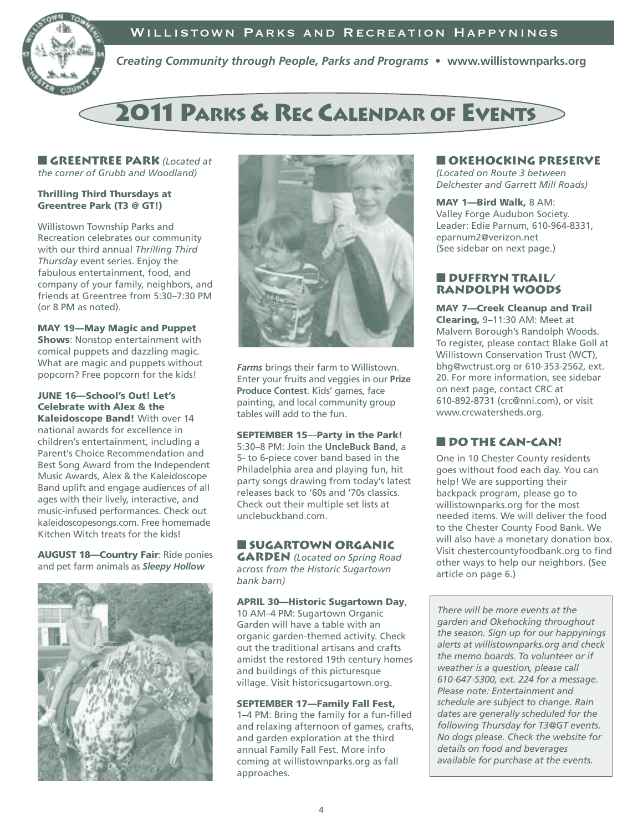## Willistown Parks and Recreation Happynings



*Creating Community through People, Parks and Programs* **• www.willistownparks.org**

# **2011 PARKS & REC CALENDAR OF EVENTS**

**■ Greentree Park** *(Located at the corner of Grubb and Woodland)*

## **Thrilling Third Thursdays at Greentree Park (T3 @ GT!)**

Willistown Township Parks and Recreation celebrates our community with our third annual *Thrilling Third Thursday* event series. Enjoy the fabulous entertainment, food, and company of your family, neighbors, and friends at Greentree from 5:30–7:30 PM (or 8 PM as noted).

**MAY 19—May Magic and Puppet Shows**: Nonstop entertainment with comical puppets and dazzling magic. What are magic and puppets without popcorn? Free popcorn for the kids!

**JUNE 16—School's Out! Let's Celebrate with Alex & the Kaleidoscope Band!** With over 14 national awards for excellence in children's entertainment, including a Parent's Choice Recommendation and Best Song Award from the Independent Music Awards, Alex & the Kaleidoscope Band uplift and engage audiences of all ages with their lively, interactive, and music-infused performances. Check out kaleidoscopesongs.com. Free homemade Kitchen Witch treats for the kids!

**AUGUST 18—Country Fair**: Ride ponies and pet farm animals as *Sleepy Hollow*





*Farms* brings their farm to Willistown. Enter your fruits and veggies in our **Prize Produce Contest**. Kids' games, face painting, and local community group tables will add to the fun.

#### **SEPTEMBER 15**—**Party in the Park!**

5:30–8 PM: Join the **UncleBuck Band**, a 5- to 6-piece cover band based in the Philadelphia area and playing fun, hit party songs drawing from today's latest releases back to '60s and '70s classics. Check out their multiple set lists at unclebuckband.com.

## **■ Sugartown Organic**

**Garden** *(Located on Spring Road across from the Historic Sugartown bank barn)*

**APRIL 30—Historic Sugartown Day**,

10 AM–4 PM: Sugartown Organic Garden will have a table with an organic garden-themed activity. Check out the traditional artisans and crafts amidst the restored 19th century homes and buildings of this picturesque village. Visit historicsugartown.org.

#### **SEPTEMBER 17—Family Fall Fest,**

1–4 PM: Bring the family for a fun-filled and relaxing afternoon of games, crafts, and garden exploration at the third annual Family Fall Fest. More info coming at willistownparks.org as fall approaches.

## **■ Okehocking Preserve**

*(Located on Route 3 between Delchester and Garrett Mill Roads)*

**MAY 1—Bird Walk,** 8 AM: Valley Forge Audubon Society. Leader: Edie Parnum, 610-964-8331, eparnum2@verizon.net (See sidebar on next page.)

## **■ Duffryn Trail/ Randolph Woods**

**MAY 7—Creek Cleanup and Trail Clearing,** 9–11:30 AM: Meet at Malvern Borough's Randolph Woods. To register, please contact Blake Goll at Willistown Conservation Trust (WCT), bhg@wctrust.org or 610-353-2562, ext. 20. For more information, see sidebar on next page, contact CRC at 610-892-8731 (crc@nni.com), or visit www.crcwatersheds.org.

## **■ Do the CAN-CAN!**

One in 10 Chester County residents goes without food each day. You can help! We are supporting their backpack program, please go to willistownparks.org for the most needed items. We will deliver the food to the Chester County Food Bank. We will also have a monetary donation box. Visit chestercountyfoodbank.org to find other ways to help our neighbors. (See article on page 6.)

*There will be more events at the garden and Okehocking throughout the season. Sign up for our happynings alerts at willistownparks.org and check the memo boards. To volunteer or if weather is a question, please call 610-647-5300, ext. 224 for a message. Please note: Entertainment and schedule are subject to change. Rain dates are generally scheduled for the following Thursday for T3@GT events. No dogs please. Check the website for details on food and beverages available for purchase at the events.*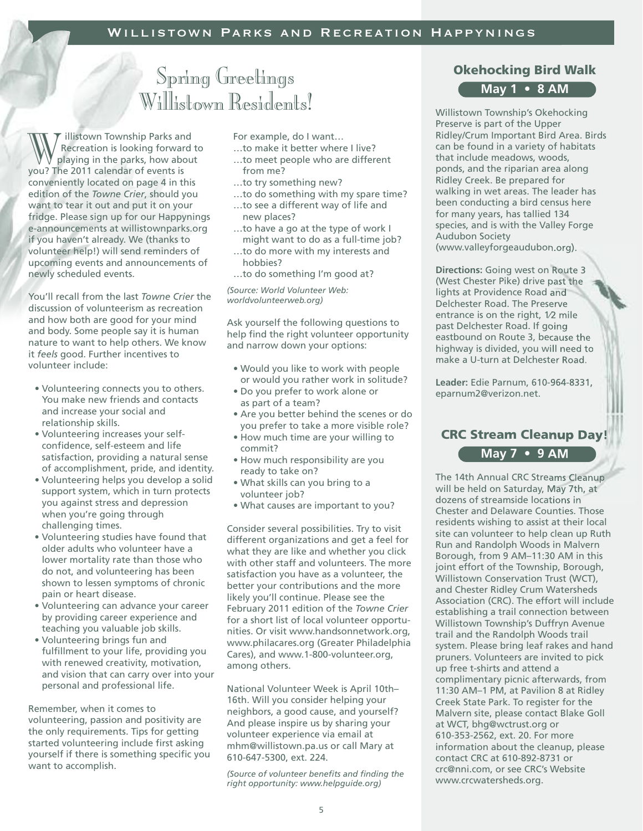# Spring Greetings Willistown Residents!

illistown Township Parks and Recreation is looking forward to playing in the parks, how about We illistown Township Parks and Recreation is looking forward playing in the parks, how above 17 The 2011 calendar of events is conveniently located on page 4 in this edition of the *Towne Crier*, should you want to tear it out and put it on your fridge. Please sign up for our Happynings e-announcements at willistownparks.org if you haven't already. We (thanks to volunteer help!) will send reminders of upcoming events and announcements of newly scheduled events.

You'll recall from the last *Towne Crier* the discussion of volunteerism as recreation and how both are good for your mind and body. Some people say it is human nature to want to help others. We know it *feels* good. Further incentives to volunteer include:

- Volunteering connects you to others. You make new friends and contacts and increase your social and relationship skills.
- Volunteering increases your selfconfidence, self-esteem and life satisfaction, providing a natural sense of accomplishment, pride, and identity.
- Volunteering helps you develop a solid support system, which in turn protects you against stress and depression when you're going through challenging times.
- Volunteering studies have found that older adults who volunteer have a lower mortality rate than those who do not, and volunteering has been shown to lessen symptoms of chronic pain or heart disease.
- Volunteering can advance your career by providing career experience and teaching you valuable job skills.
- Volunteering brings fun and fulfillment to your life, providing you with renewed creativity, motivation, and vision that can carry over into your personal and professional life.

Remember, when it comes to volunteering, passion and positivity are the only requirements. Tips for getting started volunteering include first asking yourself if there is something specific you want to accomplish.

For example, do I want…

- …to make it better where I live? …to meet people who are different from me?
- 
- …to try something new?
- …to do something with my spare time?
- …to see a different way of life and new places?
- …to have a go at the type of work I might want to do as a full-time job?
- …to do more with my interests and hobbies?
- …to do something I'm good at?

*(Source: World Volunteer Web: worldvolunteerweb.org)*

Ask yourself the following questions to help find the right volunteer opportunity and narrow down your options:

- Would you like to work with people or would you rather work in solitude?
- Do you prefer to work alone or as part of a team?
- Are you better behind the scenes or do you prefer to take a more visible role?
- How much time are your willing to commit?
- How much responsibility are you ready to take on?
- What skills can you bring to a volunteer job?
- What causes are important to you?

Consider several possibilities. Try to visit different organizations and get a feel for what they are like and whether you click with other staff and volunteers. The more satisfaction you have as a volunteer, the better your contributions and the more likely you'll continue. Please see the February 2011 edition of the *Towne Crier* for a short list of local volunteer opportunities. Or visit www.handsonnetwork.org, www.philacares.org (Greater Philadelphia Cares), and www.1-800-volunteer.org, among others.

National Volunteer Week is April 10th– 16th. Will you consider helping your neighbors, a good cause, and yourself? And please inspire us by sharing your volunteer experience via email at mhm@willistown.pa.us or call Mary at 610-647-5300, ext. 224.

*(Source of volunteer benefits and finding the right opportunity: www.helpguide.org)*

## **Okehocking Bird Walk**

## **May 1 • 8 AM**

Willistown Township's Okehocking Preserve is part of the Upper Ridley/Crum Important Bird Area. Birds can be found in a variety of habitats that include meadows, woods, ponds, and the riparian area along Ridley Creek. Be prepared for walking in wet areas. The leader has been conducting a bird census here for many years, has tallied 134 species, and is with the Valley Forge Audubon Society (www.valleyforgeaudubon.org).

**Directions:** Going west on Route 3 (West Chester Pike) drive past the lights at Providence Road and Delchester Road. The Preserve entrance is on the right, 1⁄2 mile past Delchester Road. If going eastbound on Route 3, because the highway is divided, you will need to make a U-turn at Delchester Road.

**Leader:** Edie Parnum, 610-964-8331, eparnum2@verizon.net.

## **CRC Stream Cleanup Day! May 7 • 9 AM**

The 14th Annual CRC Streams Cleanup will be held on Saturday, May 7th, at dozens of streamside locations in Chester and Delaware Counties. Those residents wishing to assist at their local site can volunteer to help clean up Ruth Run and Randolph Woods in Malvern Borough, from 9 AM–11:30 AM in this joint effort of the Township, Borough, Willistown Conservation Trust (WCT), and Chester Ridley Crum Watersheds Association (CRC). The effort will include establishing a trail connection between Willistown Township's Duffryn Avenue trail and the Randolph Woods trail system. Please bring leaf rakes and hand pruners. Volunteers are invited to pick up free t-shirts and attend a complimentary picnic afterwards, from 11:30 AM–1 PM, at Pavilion 8 at Ridley Creek State Park. To register for the Malvern site, please contact Blake Goll at WCT, bhg@wctrust.org or 610-353-2562, ext. 20. For more information about the cleanup, please contact CRC at 610-892-8731 or crc@nni.com, or see CRC's Website www.crcwatersheds.org.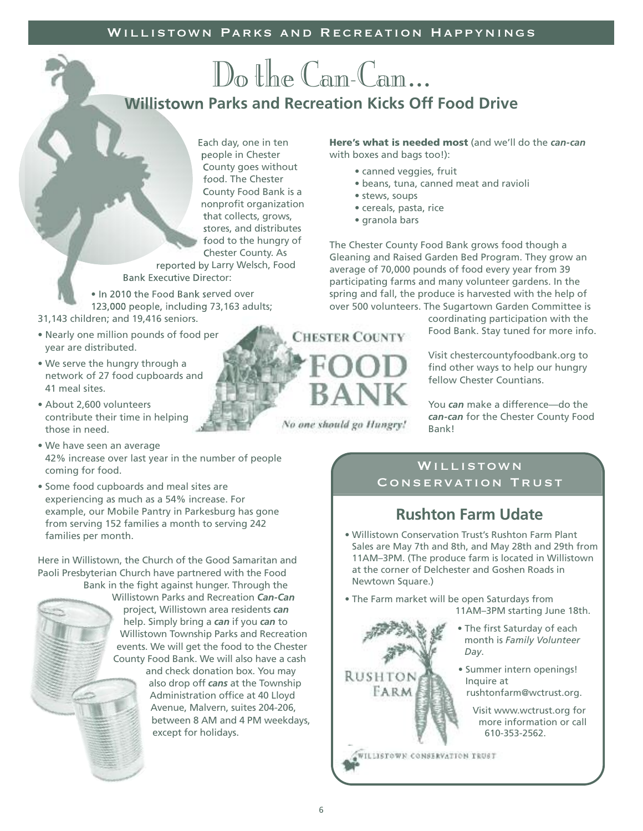# Do the Cam-Cam... **Willistown Parks and Recreation Kicks Off Food Drive**

Each day, one in ten people in Chester County goes without food. The Chester County Food Bank is a nonprofit organization that collects, grows, stores, and distributes food to the hungry of Chester County. As

reported by Larry Welsch, Food Bank Executive Director:

• In 2010 the Food Bank served over 123,000 people, including 73,163 adults;

- 31,143 children; and 19,416 seniors.
- Nearly one million pounds of food per year are distributed.
- We serve the hungry through a network of 27 food cupboards and 41 meal sites.
- About 2,600 volunteers contribute their time in helping those in need.
- We have seen an average 42% increase over last year in the number of people coming for food.
- Some food cupboards and meal sites are experiencing as much as a 54% increase. For example, our Mobile Pantry in Parkesburg has gone from serving 152 families a month to serving 242 families per month.

Here in Willistown, the Church of the Good Samaritan and Paoli Presbyterian Church have partnered with the Food Bank in the fight against hunger. Through the

Willistown Parks and Recreation *Can-Can* project, Willistown area residents *can* help. Simply bring a *can* if you *can* to Willistown Township Parks and Recreation events. We will get the food to the Chester County Food Bank. We will also have a cash and check donation box. You may also drop off *cans* at the Township Administration office at 40 Lloyd

Avenue, Malvern, suites 204-206, between 8 AM and 4 PM weekdays, except for holidays.

**Here's what is needed most** (and we'll do the *can-can* with boxes and bags too!):

- canned veggies, fruit
- beans, tuna, canned meat and ravioli
- stews, soups
- cereals, pasta, rice
- granola bars

The Chester County Food Bank grows food though a Gleaning and Raised Garden Bed Program. They grow an average of 70,000 pounds of food every year from 39 participating farms and many volunteer gardens. In the spring and fall, the produce is harvested with the help of over 500 volunteers. The Sugartown Garden Committee is

> coordinating participation with the Food Bank. Stay tuned for more info.

Visit chestercountyfoodbank.org to find other ways to help our hungry fellow Chester Countians.

You *can* make a difference—do the *can-can* for the Chester County Food Bank!

# Willistown

Conservation Trust

## **Rushton Farm Udate**

- Willistown Conservation Trust's Rushton Farm Plant Sales are May 7th and 8th, and May 28th and 29th from 11AM–3PM. (The produce farm is located in Willistown at the corner of Delchester and Goshen Roads in Newtown Square.)
- The Farm market will be open Saturdays from 11AM–3PM starting June 18th.
	- The first Saturday of each month is *Family Volunteer Day*.
	- Summer intern openings! Inquire at rushtonfarm@wctrust.org.
		- Visit www.wctrust.org for more information or call 610-353-2562.

WILLISTOWN CONSERVATION TRUST

**RUSHTON FARM** 

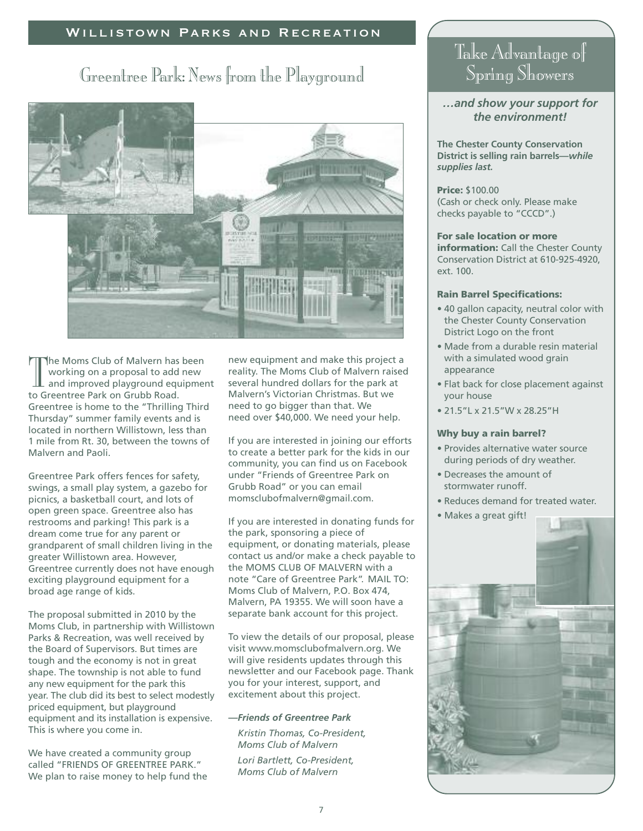## Willistown Parks and Recreation

## Greentree Park: News from the Playground



The Moms Club of Malvern has<br>working on a proposal to add<br>and improved playground equ<br>to Greentree Park on Grubb Road. he Moms Club of Malvern has been working on a proposal to add new and improved playground equipment Greentree is home to the "Thrilling Third Thursday" summer family events and is located in northern Willistown, less than 1 mile from Rt. 30, between the towns of Malvern and Paoli.

Greentree Park offers fences for safety, swings, a small play system, a gazebo for picnics, a basketball court, and lots of open green space. Greentree also has restrooms and parking! This park is a dream come true for any parent or grandparent of small children living in the greater Willistown area. However, Greentree currently does not have enough exciting playground equipment for a broad age range of kids.

The proposal submitted in 2010 by the Moms Club, in partnership with Willistown Parks & Recreation, was well received by the Board of Supervisors. But times are tough and the economy is not in great shape. The township is not able to fund any new equipment for the park this year. The club did its best to select modestly priced equipment, but playground equipment and its installation is expensive. This is where you come in.

We have created a community group called "FRIENDS OF GREENTREE PARK." We plan to raise money to help fund the new equipment and make this project a reality. The Moms Club of Malvern raised several hundred dollars for the park at Malvern's Victorian Christmas. But we need to go bigger than that. We need over \$40,000. We need your help.

If you are interested in joining our efforts to create a better park for the kids in our community, you can find us on Facebook under "Friends of Greentree Park on Grubb Road" or you can email momsclubofmalvern@gmail.com.

If you are interested in donating funds for the park, sponsoring a piece of equipment, or donating materials, please contact us and/or make a check payable to the MOMS CLUB OF MALVERN with a note "Care of Greentree Park". MAIL TO: Moms Club of Malvern, P.O. Box 474, Malvern, PA 19355. We will soon have a separate bank account for this project.

To view the details of our proposal, please visit www.momsclubofmalvern.org. We will give residents updates through this newsletter and our Facebook page. Thank you for your interest, support, and excitement about this project.

## *—Friends of Greentree Park*

*—Kristin Thomas, Co-President, Moms Club of Malvern*

*—Lori Bartlett, Co-President, Moms Club of Malvern*

## Take Advantage of Spring Showers

*…and show your support for the environment!*

**The Chester County Conservation District is selling rain barrels—***while supplies last.*

**Price:** \$100.00 (Cash or check only. Please make checks payable to "CCCD".)

### **For sale location or more information:** Call the Chester County Conservation District at 610-925-4920, ext. 100.

### **Rain Barrel Specifications:**

- 40 gallon capacity, neutral color with the Chester County Conservation District Logo on the front
- Made from a durable resin material with a simulated wood grain appearance
- Flat back for close placement against your house
- 21.5"L x 21.5"W x 28.25"H

#### **Why buy a rain barrel?**

- Provides alternative water source during periods of dry weather.
- Decreases the amount of stormwater runoff.
- Reduces demand for treated water.
- Makes a great gift!

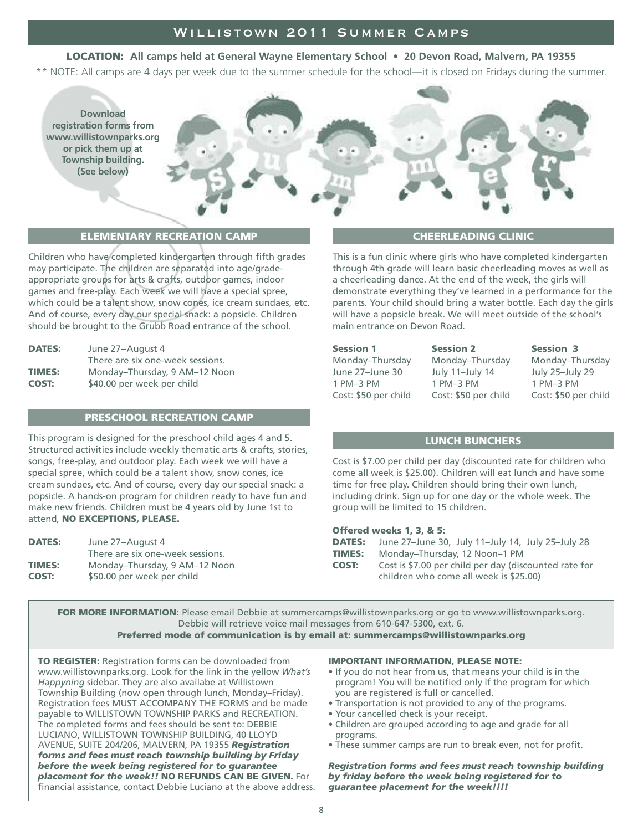## Willistown 2011 Summer Camps

## **LOCATION: All camps held at General Wayne Elementary School • 20 Devon Road, Malvern, PA 19355**

\*\* NOTE: All camps are 4 days per week due to the summer schedule for the school—it is closed on Fridays during the summer.



## **ELEMENTARY RECREATION CAMP**

Children who have completed kindergarten through fifth grades may participate. The children are separated into age/gradeappropriate groups for arts & crafts, outdoor games, indoor games and free-play. Each week we will have a special spree, which could be a talent show, snow cones, ice cream sundaes, etc. And of course, every day our special snack: a popsicle. Children should be brought to the Grubb Road entrance of the school.

| June 27-August 4                 |  |  |
|----------------------------------|--|--|
| There are six one-week sessions. |  |  |
| Monday-Thursday, 9 AM-12 Noon    |  |  |
| \$40.00 per week per child       |  |  |
|                                  |  |  |

## **PRESCHOOL RECREATION CAMP**

This program is designed for the preschool child ages 4 and 5. Structured activities include weekly thematic arts & crafts, stories, songs, free-play, and outdoor play. Each week we will have a special spree, which could be a talent show, snow cones, ice cream sundaes, etc. And of course, every day our special snack: a popsicle. A hands-on program for children ready to have fun and make new friends. Children must be 4 years old by June 1st to attend, **NO EXCEPTIONS, PLEASE.**

| <b>DATES:</b> | June 27-August 4<br>There are six one-week sessions. |
|---------------|------------------------------------------------------|
| <b>TIMES:</b> | Monday-Thursday, 9 AM-12 Noon                        |
| <b>COST:</b>  | \$50.00 per week per child                           |

## **CHEERLEADING CLINIC**

This is a fun clinic where girls who have completed kindergarten through 4th grade will learn basic cheerleading moves as well as a cheerleading dance. At the end of the week, the girls will demonstrate everything they've learned in a performance for the parents. Your child should bring a water bottle. Each day the girls will have a popsicle break. We will meet outside of the school's main entrance on Devon Road.

**Session 1 Session 2 Session 3**

Monday–Thursday Monday–Thursday Monday–Thursday June 27–June 30 July 11–July 14 July 25–July 29 1 PM–3 PM 1 PM–3 PM 1 PM–3 PM

Cost: \$50 per child Cost: \$50 per child Cost: \$50 per child

#### **LUNCH BUNCHERS**

Cost is \$7.00 per child per day (discounted rate for children who come all week is \$25.00). Children will eat lunch and have some time for free play. Children should bring their own lunch, including drink. Sign up for one day or the whole week. The group will be limited to 15 children.

#### **Offered weeks 1, 3, & 5:**

| <b>DATES:</b> | June 27-June 30, July 11-July 14, July 25-July 28                                               |
|---------------|-------------------------------------------------------------------------------------------------|
| <b>TIMES:</b> | Monday-Thursday, 12 Noon-1 PM                                                                   |
| <b>COST:</b>  | Cost is \$7.00 per child per day (discounted rate for<br>children who come all week is \$25.00) |

**FOR MORE INFORMATION:** Please email Debbie at summercamps@willistownparks.org or go to www.willistownparks.org. Debbie will retrieve voice mail messages from 610-647-5300, ext. 6.

**Preferred mode of communication is by email at: summercamps@willistownparks.org**

**TO REGISTER:** Registration forms can be downloaded from www.willistownparks.org. Look for the link in the yellow *What's Happyning* sidebar. They are also availabe at Willistown Township Building (now open through lunch, Monday–Friday). Registration fees MUST ACCOMPANY THE FORMS and be made payable to WILLISTOWN TOWNSHIP PARKS and RECREATION. The completed forms and fees should be sent to: DEBBIE LUCIANO, WILLISTOWN TOWNSHIP BUILDING, 40 LLOYD AVENUE, SUITE 204/206, MALVERN, PA 19355 *Registration forms and fees must reach township building by Friday before the week being registered for to guarantee placement for the week!!* **NO REFUNDS CAN BE GIVEN.** For financial assistance, contact Debbie Luciano at the above address.

#### **IMPORTANT INFORMATION, PLEASE NOTE:**

- If you do not hear from us, that means your child is in the program! You will be notified only if the program for which you are registered is full or cancelled.
- Transportation is not provided to any of the programs.
- Your cancelled check is your receipt.
- Children are grouped according to age and grade for all programs.
- These summer camps are run to break even, not for profit.

*Registration forms and fees must reach township building by friday before the week being registered for to guarantee placement for the week!!!!*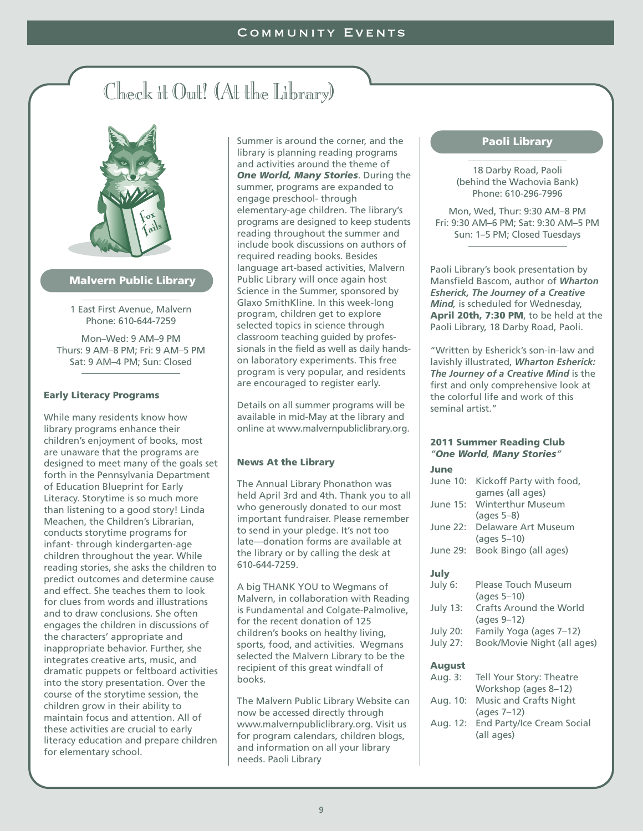# Check it Out! (At the Library)



## **Malvern Public Library**

1 East First Avenue, Malvern Phone: 610-644-7259

Mon–Wed: 9 AM–9 PM Thurs: 9 AM–8 PM; Fri: 9 AM–5 PM Sat: 9 AM–4 PM; Sun: Closed

## **Early Literacy Programs**

While many residents know how library programs enhance their children's enjoyment of books, most are unaware that the programs are designed to meet many of the goals set forth in the Pennsylvania Department of Education Blueprint for Early Literacy. Storytime is so much more than listening to a good story! Linda Meachen, the Children's Librarian, conducts storytime programs for infant- through kindergarten-age children throughout the year. While reading stories, she asks the children to predict outcomes and determine cause and effect. She teaches them to look for clues from words and illustrations and to draw conclusions. She often engages the children in discussions of the characters' appropriate and inappropriate behavior. Further, she integrates creative arts, music, and dramatic puppets or feltboard activities into the story presentation. Over the course of the storytime session, the children grow in their ability to maintain focus and attention. All of these activities are crucial to early literacy education and prepare children for elementary school.

Summer is around the corner, and the library is planning reading programs and activities around the theme of *One World, Many Stories*. During the summer, programs are expanded to engage preschool- through elementary-age children. The library's programs are designed to keep students reading throughout the summer and include book discussions on authors of required reading books. Besides language art-based activities, Malvern Public Library will once again host Science in the Summer, sponsored by Glaxo SmithKline. In this week-long program, children get to explore selected topics in science through classroom teaching guided by professionals in the field as well as daily handson laboratory experiments. This free program is very popular, and residents are encouraged to register early.

Details on all summer programs will be available in mid-May at the library and online at www.malvernpubliclibrary.org.

## **News At the Library**

The Annual Library Phonathon was held April 3rd and 4th. Thank you to all who generously donated to our most important fundraiser. Please remember to send in your pledge. It's not too late—donation forms are available at the library or by calling the desk at 610-644-7259.

A big THANK YOU to Wegmans of Malvern, in collaboration with Reading is Fundamental and Colgate-Palmolive. for the recent donation of 125 children's books on healthy living, sports, food, and activities. Wegmans selected the Malvern Library to be the recipient of this great windfall of books.

The Malvern Public Library Website can now be accessed directly through www.malvernpubliclibrary.org. Visit us for program calendars, children blogs, and information on all your library needs. Paoli Library

## **Paoli Library**

18 Darby Road, Paoli (behind the Wachovia Bank) Phone: 610-296-7996

Mon, Wed, Thur: 9:30 AM–8 PM Fri: 9:30 AM–6 PM; Sat: 9:30 AM–5 PM Sun: 1–5 PM; Closed Tuesdays

Paoli Library's book presentation by Mansfield Bascom, author of *Wharton Esherick, The Journey of a Creative Mind,* is scheduled for Wednesday, **April 20th, 7:30 PM**, to be held at the Paoli Library, 18 Darby Road, Paoli.

"Written by Esherick's son-in-law and lavishly illustrated, *Wharton Esherick: The Journey of a Creative Mind* is the first and only comprehensive look at the colorful life and work of this seminal artist."

#### **2011 Summer Reading Club** *"One World, Many Stories"*

| June     |                                                         |
|----------|---------------------------------------------------------|
| June 10: | Kickoff Party with food,<br>games (all ages)            |
| June 15: | <b>Winterthur Museum</b><br>$(\text{ages } 5-8)$        |
| June 22: | Delaware Art Museum<br>$\frac{1}{2}$ (ages 5-10)        |
| June 29: | Book Bingo (all ages)                                   |
| July     |                                                         |
| July 6:  | <b>Please Touch Museum</b><br>$\frac{1}{2}$ (ages 5-10) |
| July 13: | <b>Crafts Around the World</b><br>(ages 9-12)           |
| July 20: | Family Yoga (ages 7-12)                                 |
| July 27: | Book/Movie Night (all ages)                             |
| August   |                                                         |
| Aug. 3:  | Tell Your Story: Theatre<br>Workshop (ages 8-12)        |
| Aug. 10: | <b>Music and Crafts Night</b><br>(ages $7-12$ )         |
| Aug. 12: | End Party/Ice Cream Social<br>(all ages)                |
|          |                                                         |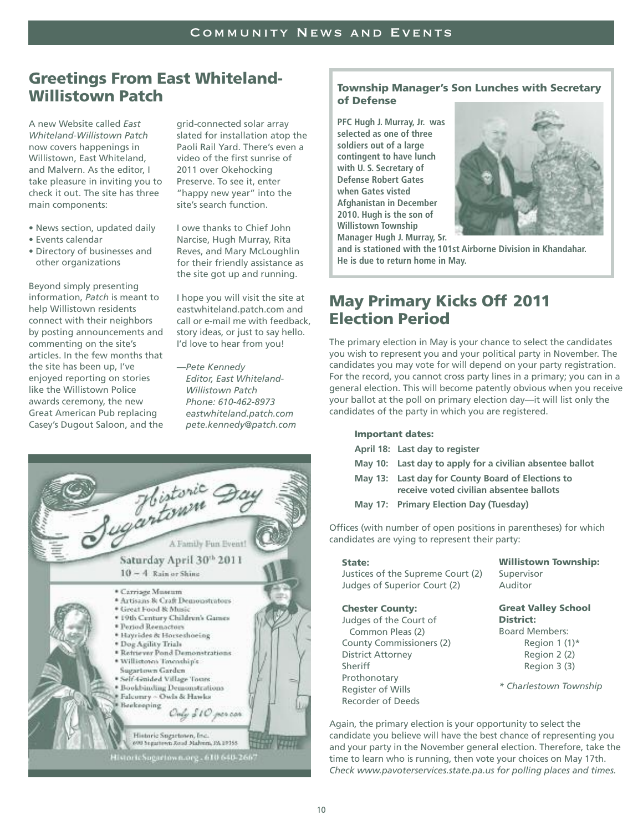## **Greetings From East Whiteland-Willistown Patch**

A new Website called *East Whiteland-Willistown Patch* now covers happenings in Willistown, East Whiteland, and Malvern. As the editor, I take pleasure in inviting you to check it out. The site has three main components:

- News section, updated daily
- Events calendar
- Directory of businesses and other organizations

Beyond simply presenting information, *Patch* is meant to help Willistown residents connect with their neighbors by posting announcements and commenting on the site's articles. In the few months that the site has been up, I've enjoyed reporting on stories like the Willistown Police awards ceremony, the new Great American Pub replacing Casey's Dugout Saloon, and the

grid-connected solar array slated for installation atop the Paoli Rail Yard. There's even a video of the first sunrise of 2011 over Okehocking Preserve. To see it, enter "happy new year" into the site's search function.

I owe thanks to Chief John Narcise, Hugh Murray, Rita Reves, and Mary McLoughlin for their friendly assistance as the site got up and running.

I hope you will visit the site at eastwhiteland.patch.com and call or e-mail me with feedback, story ideas, or just to say hello. I'd love to hear from you!

*—Pete Kennedy Editor, East Whiteland-Willistown Patch Phone: 610-462-8973 eastwhiteland.patch.com pete.kennedy@patch.com*



## **Township Manager's Son Lunches with Secretary of Defense**

**PFC Hugh J. Murray, Jr. was selected as one of three soldiers out of a large contingent to have lunch with U. S. Secretary of Defense Robert Gates when Gates visted Afghanistan in December 2010. Hugh is the son of Willistown Township Manager Hugh J. Murray, Sr.**



**and is stationed with the 101st Airborne Division in Khandahar. He is due to return home in May.**

## **May Primary Kicks Off 2011 Election Period**

The primary election in May is your chance to select the candidates you wish to represent you and your political party in November. The candidates you may vote for will depend on your party registration. For the record, you cannot cross party lines in a primary; you can in a general election. This will become patently obvious when you receive your ballot at the poll on primary election day—it will list only the candidates of the party in which you are registered.

#### **Important dates:**

- **April 18: Last day to register**
- **May 10: Last day to apply for a civilian absentee ballot**
- **May 13: Last day for County Board of Elections to receive voted civilian absentee ballots**
- **May 17: Primary Election Day (Tuesday)**

Offices (with number of open positions in parentheses) for which candidates are vying to represent their party:

#### **State:**

Justices of the Supreme Court (2) Judges of Superior Court (2)

#### **Chester County:**

- Judges of the Court of Common Pleas (2) County Commissioners (2) District Attorney Sheriff Prothonotary Register of Wills Recorder of Deeds
- **Willistown Township:** Supervisor Auditor

**Great Valley School District:**

Board Members: Region  $1(1)^*$ Region 2 (2) Region 3 (3)

*\* Charlestown Township*

Again, the primary election is your opportunity to select the candidate you believe will have the best chance of representing you and your party in the November general election. Therefore, take the time to learn who is running, then vote your choices on May 17th. *Check www.pavoterservices.state.pa.us for polling places and times.*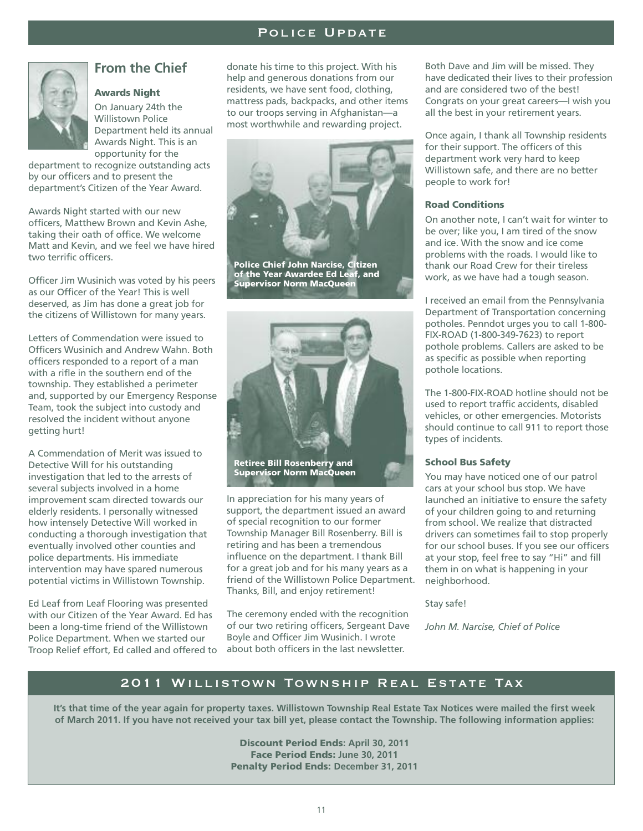## POLICE UPDATE



## **From the Chief**

## **Awards Night**

On January 24th the Willistown Police Department held its annual Awards Night. This is an opportunity for the

department to recognize outstanding acts by our officers and to present the department's Citizen of the Year Award.

Awards Night started with our new officers, Matthew Brown and Kevin Ashe, taking their oath of office. We welcome Matt and Kevin, and we feel we have hired two terrific officers.

Officer Jim Wusinich was voted by his peers as our Officer of the Year! This is well deserved, as Jim has done a great job for the citizens of Willistown for many years.

Letters of Commendation were issued to Officers Wusinich and Andrew Wahn. Both officers responded to a report of a man with a rifle in the southern end of the township. They established a perimeter and, supported by our Emergency Response Team, took the subject into custody and resolved the incident without anyone getting hurt!

A Commendation of Merit was issued to Detective Will for his outstanding investigation that led to the arrests of several subjects involved in a home improvement scam directed towards our elderly residents. I personally witnessed how intensely Detective Will worked in conducting a thorough investigation that eventually involved other counties and police departments. His immediate intervention may have spared numerous potential victims in Willistown Township.

Ed Leaf from Leaf Flooring was presented with our Citizen of the Year Award. Ed has been a long-time friend of the Willistown Police Department. When we started our Troop Relief effort, Ed called and offered to

donate his time to this project. With his help and generous donations from our residents, we have sent food, clothing, mattress pads, backpacks, and other items to our troops serving in Afghanistan—a most worthwhile and rewarding project.



**Police Chief John Narcise, Citizen of the Year Awardee Ed Leaf, and Supervisor Norm MacQueen**



**Retiree Bill Rosenberry and Supervisor Norm MacQueen**

In appreciation for his many years of support, the department issued an award of special recognition to our former Township Manager Bill Rosenberry. Bill is retiring and has been a tremendous influence on the department. I thank Bill for a great job and for his many years as a friend of the Willistown Police Department. Thanks, Bill, and enjoy retirement!

The ceremony ended with the recognition of our two retiring officers, Sergeant Dave Boyle and Officer Jim Wusinich. I wrote about both officers in the last newsletter.

Both Dave and Jim will be missed. They have dedicated their lives to their profession and are considered two of the best! Congrats on your great careers—I wish you all the best in your retirement years.

Once again, I thank all Township residents for their support. The officers of this department work very hard to keep Willistown safe, and there are no better people to work for!

#### **Road Conditions**

On another note, I can't wait for winter to be over; like you, I am tired of the snow and ice. With the snow and ice come problems with the roads. I would like to thank our Road Crew for their tireless work, as we have had a tough season.

I received an email from the Pennsylvania Department of Transportation concerning potholes. Penndot urges you to call 1-800- FIX-ROAD (1-800-349-7623) to report pothole problems. Callers are asked to be as specific as possible when reporting pothole locations.

The 1-800-FIX-ROAD hotline should not be used to report traffic accidents, disabled vehicles, or other emergencies. Motorists should continue to call 911 to report those types of incidents.

## **School Bus Safety**

You may have noticed one of our patrol cars at your school bus stop. We have launched an initiative to ensure the safety of your children going to and returning from school. We realize that distracted drivers can sometimes fail to stop properly for our school buses. If you see our officers at your stop, feel free to say "Hi" and fill them in on what is happening in your neighborhood.

Stay safe!

*John M. Narcise, Chief of Police*

## 2011 Willistown Township Real Estate Tax

It's that time of the year again for property taxes. Willistown Township Real Estate Tax Notices were mailed the first week of March 2011. If you have not received your tax bill yet, please contact the Township. The following information applies:

> **Discount Period Ends: April 30, 2011 Face Period Ends: June 30, 2011 Penalty Period Ends: December 31, 2011**